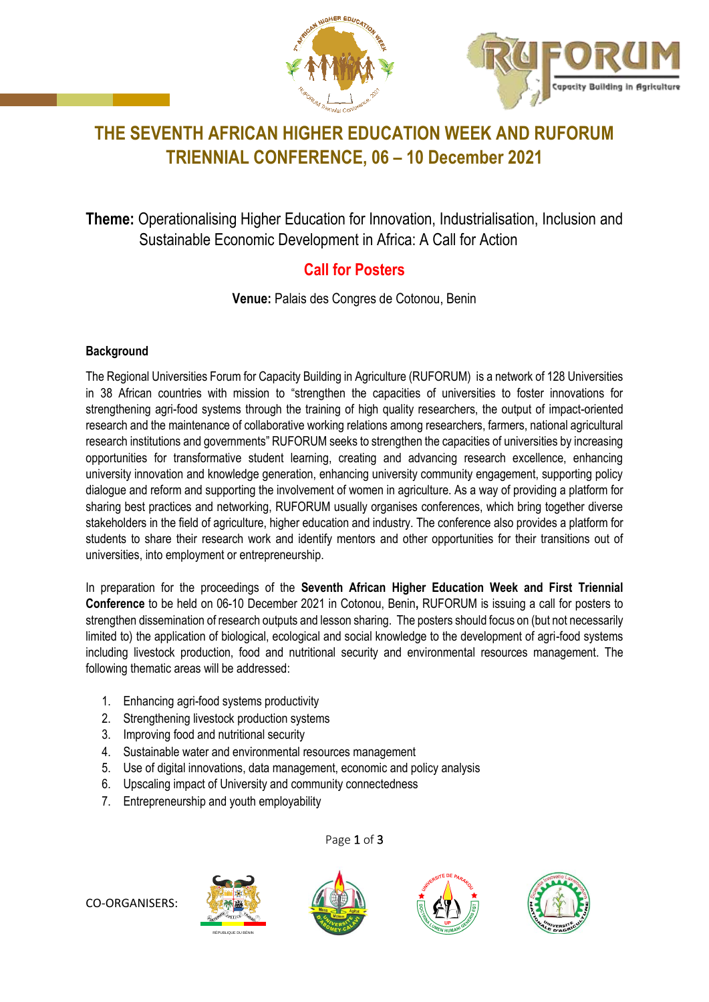



# **THE SEVENTH AFRICAN HIGHER EDUCATION WEEK AND RUFORUM TRIENNIAL CONFERENCE, 06 – 10 December 2021**

**Theme:** Operationalising Higher Education for Innovation, Industrialisation, Inclusion and Sustainable Economic Development in Africa: A Call for Action

## **Call for Posters**

**Venue:** Palais des Congres de Cotonou, Benin

### **Background**

The Regional Universities Forum for Capacity Building in Agriculture (RUFORUM) is a network of 128 Universities in 38 African countries with mission to "strengthen the capacities of universities to foster innovations for strengthening agri-food systems through the training of high quality researchers, the output of impact-oriented research and the maintenance of collaborative working relations among researchers, farmers, national agricultural research institutions and governments" RUFORUM seeks to strengthen the capacities of universities by increasing opportunities for transformative student learning, creating and advancing research excellence, enhancing university innovation and knowledge generation, enhancing university community engagement, supporting policy dialogue and reform and supporting the involvement of women in agriculture. As a way of providing a platform for sharing best practices and networking, RUFORUM usually organises conferences, which bring together diverse stakeholders in the field of agriculture, higher education and industry. The conference also provides a platform for students to share their research work and identify mentors and other opportunities for their transitions out of universities, into employment or entrepreneurship.

In preparation for the proceedings of the **Seventh African Higher Education Week and First Triennial Conference** to be held on 06-10 December 2021 in Cotonou, Benin**,** RUFORUM is issuing a call for posters to strengthen dissemination of research outputs and lesson sharing. The posters should focus on (but not necessarily limited to) the application of biological, ecological and social knowledge to the development of agri-food systems including livestock production, food and nutritional security and environmental resources management. The following thematic areas will be addressed:

- 1. Enhancing agri-food systems productivity
- 2. Strengthening livestock production systems
- 3. Improving food and nutritional security
- 4. Sustainable water and environmental resources management
- 5. Use of digital innovations, data management, economic and policy analysis
- 6. Upscaling impact of University and community connectedness
- 7. Entrepreneurship and youth employability

RÉPUBLIQUE DU BÉNIN



Page 1 of 3





CO-ORGANISERS: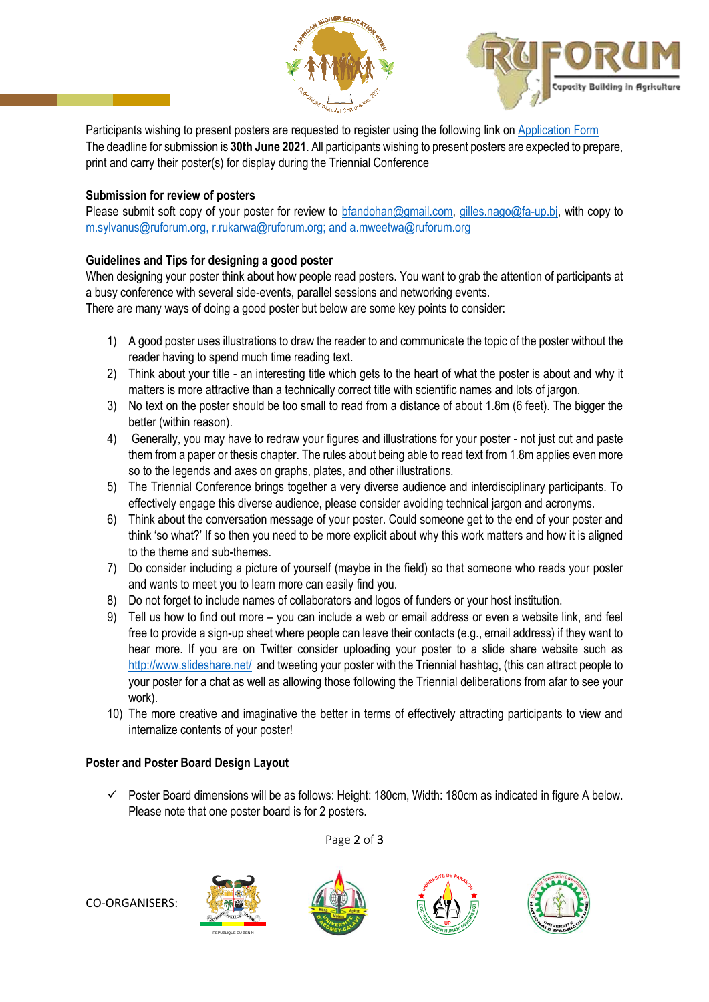



Participants wishing to present posters are requested to register using the following link on [Application Form](http://www.ruforum.org/Triennial2021/content/poster-application-form) The deadline for submission is **30th June 2021**. All participants wishing to present posters are expected to prepare, print and carry their poster(s) for display during the Triennial Conference

#### **Submission for review of posters**

Please submit soft copy of your poster for review to [bfandohan@gmail.com,](mailto:bfandohan@gmail.com) [gilles.nago@fa-up.bj,](mailto:gilles.nago@fa-up.bj) with copy to [m.sylvanus@ruforum.org,](mailto:m.sylvanus@ruforum.org) [r.rukarwa@ruforum.org;](mailto:r.rukarwa@ruforum.org) and [a.mweetwa@ruforum.org](mailto:a.mweetwa@ruforum.org)

#### **Guidelines and Tips for designing a good poster**

When designing your poster think about how people read posters. You want to grab the attention of participants at a busy conference with several side-events, parallel sessions and networking events.

There are many ways of doing a good poster but below are some key points to consider:

- 1) A good poster uses illustrations to draw the reader to and communicate the topic of the poster without the reader having to spend much time reading text.
- 2) Think about your title an interesting title which gets to the heart of what the poster is about and why it matters is more attractive than a technically correct title with scientific names and lots of jargon.
- 3) No text on the poster should be too small to read from a distance of about 1.8m (6 feet). The bigger the better (within reason).
- 4) Generally, you may have to redraw your figures and illustrations for your poster not just cut and paste them from a paper or thesis chapter. The rules about being able to read text from 1.8m applies even more so to the legends and axes on graphs, plates, and other illustrations.
- 5) The Triennial Conference brings together a very diverse audience and interdisciplinary participants. To effectively engage this diverse audience, please consider avoiding technical jargon and acronyms.
- 6) Think about the conversation message of your poster. Could someone get to the end of your poster and think 'so what?' If so then you need to be more explicit about why this work matters and how it is aligned to the theme and sub-themes.
- 7) Do consider including a picture of yourself (maybe in the field) so that someone who reads your poster and wants to meet you to learn more can easily find you.
- 8) Do not forget to include names of collaborators and logos of funders or your host institution.
- 9) Tell us how to find out more you can include a web or email address or even a website link, and feel free to provide a sign-up sheet where people can leave their contacts (e.g., email address) if they want to hear more. If you are on Twitter consider uploading your poster to a slide share website such as <http://www.slideshare.net/>and tweeting your poster with the Triennial hashtag, (this can attract people to your poster for a chat as well as allowing those following the Triennial deliberations from afar to see your work).
- 10) The more creative and imaginative the better in terms of effectively attracting participants to view and internalize contents of your poster!

#### **Poster and Poster Board Design Layout**

 Poster Board dimensions will be as follows: Height: 180cm, Width: 180cm as indicated in figure A below. Please note that one poster board is for 2 posters.

Page 2 of 3



CO-ORGANISERS: